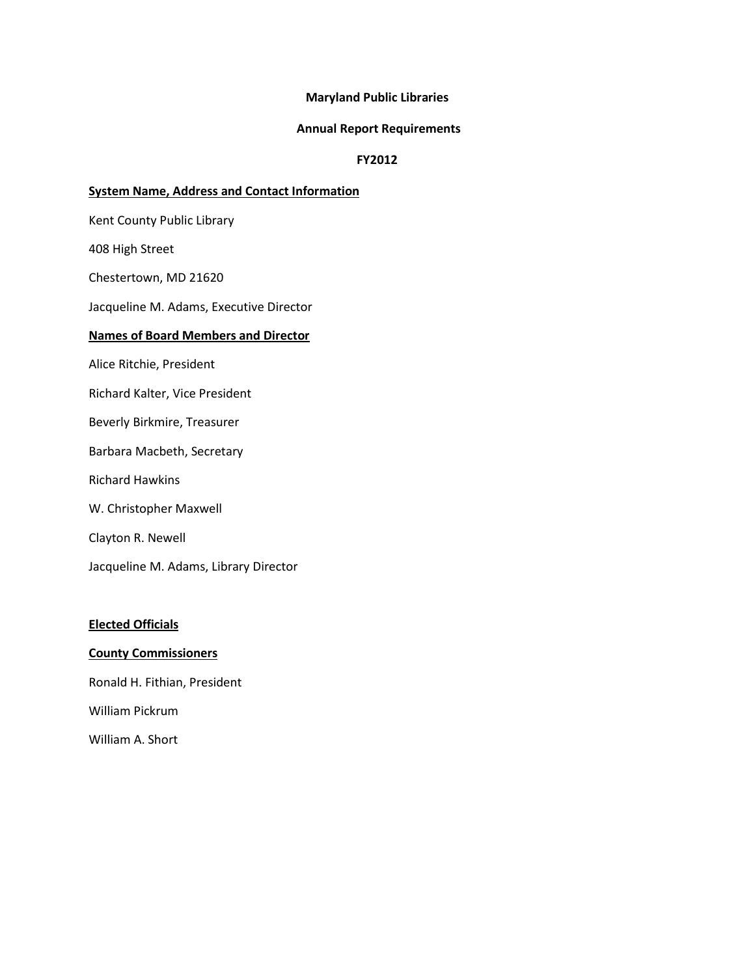### **Maryland Public Libraries**

#### **Annual Report Requirements**

### **FY2012**

### **System Name, Address and Contact Information**

Kent County Public Library

408 High Street

Chestertown, MD 21620

Jacqueline M. Adams, Executive Director

# **Names of Board Members and Director**

Alice Ritchie, President

Richard Kalter, Vice President

Beverly Birkmire, Treasurer

Barbara Macbeth, Secretary

Richard Hawkins

W. Christopher Maxwell

Clayton R. Newell

Jacqueline M. Adams, Library Director

## **Elected Officials**

#### **County Commissioners**

Ronald H. Fithian, President

William Pickrum

William A. Short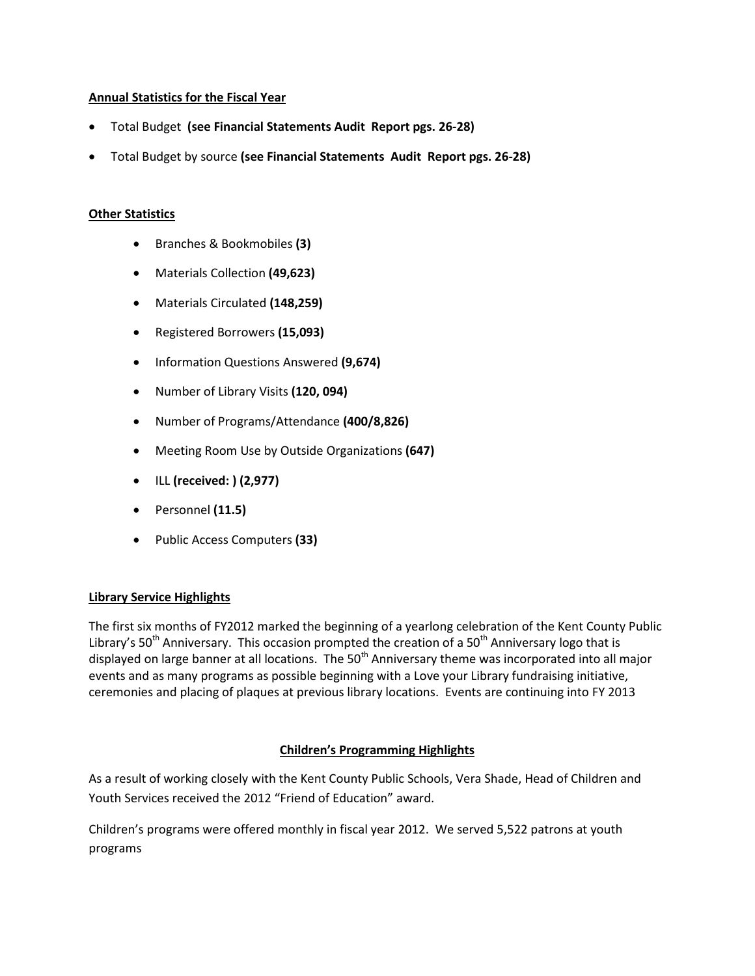## **Annual Statistics for the Fiscal Year**

- Total Budget **(see Financial Statements Audit Report pgs. 26-28)**
- Total Budget by source **(see Financial Statements Audit Report pgs. 26-28)**

## **Other Statistics**

- Branches & Bookmobiles **(3)**
- Materials Collection **(49,623)**
- Materials Circulated **(148,259)**
- Registered Borrowers **(15,093)**
- Information Questions Answered **(9,674)**
- Number of Library Visits **(120, 094)**
- Number of Programs/Attendance **(400/8,826)**
- Meeting Room Use by Outside Organizations **(647)**
- ILL **(received: ) (2,977)**
- Personnel **(11.5)**
- Public Access Computers **(33)**

## **Library Service Highlights**

The first six months of FY2012 marked the beginning of a yearlong celebration of the Kent County Public Library's 50<sup>th</sup> Anniversary. This occasion prompted the creation of a 50<sup>th</sup> Anniversary logo that is displayed on large banner at all locations. The  $50<sup>th</sup>$  Anniversary theme was incorporated into all major events and as many programs as possible beginning with a Love your Library fundraising initiative, ceremonies and placing of plaques at previous library locations. Events are continuing into FY 2013

## **Children's Programming Highlights**

As a result of working closely with the Kent County Public Schools, Vera Shade, Head of Children and Youth Services received the 2012 "Friend of Education" award.

Children's programs were offered monthly in fiscal year 2012. We served 5,522 patrons at youth programs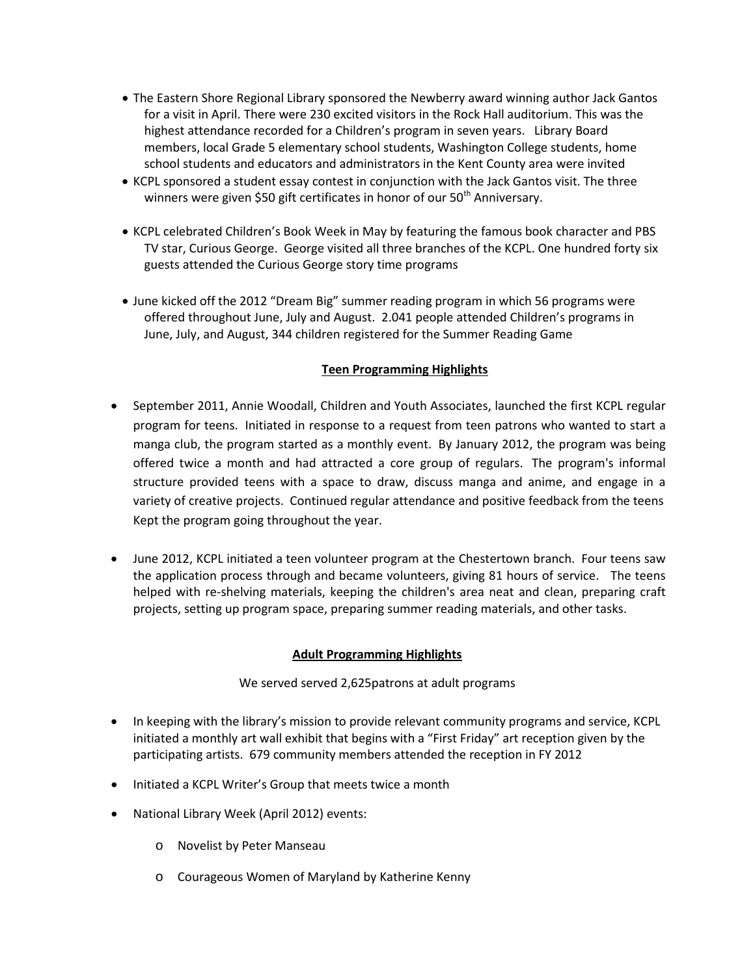- The Eastern Shore Regional Library sponsored the Newberry award winning author Jack Gantos for a visit in April. There were 230 excited visitors in the Rock Hall auditorium. This was the highest attendance recorded for a Children's program in seven years. Library Board members, local Grade 5 elementary school students, Washington College students, home school students and educators and administrators in the Kent County area were invited
- KCPL sponsored a student essay contest in conjunction with the Jack Gantos visit. The three winners were given \$50 gift certificates in honor of our 50<sup>th</sup> Anniversary.
- KCPL celebrated Children's Book Week in May by featuring the famous book character and PBS TV star, Curious George. George visited all three branches of the KCPL. One hundred forty six guests attended the Curious George story time programs
- June kicked off the 2012 "Dream Big" summer reading program in which 56 programs were offered throughout June, July and August. 2.041 people attended Children's programs in June, July, and August, 344 children registered for the Summer Reading Game

# **Teen Programming Highlights**

- September 2011, Annie Woodall, Children and Youth Associates, launched the first KCPL regular program for teens. Initiated in response to a request from teen patrons who wanted to start a manga club, the program started as a monthly event. By January 2012, the program was being offered twice a month and had attracted a core group of regulars. The program's informal structure provided teens with a space to draw, discuss manga and anime, and engage in a variety of creative projects. Continued regular attendance and positive feedback from the teens Kept the program going throughout the year.
- June 2012, KCPL initiated a teen volunteer program at the Chestertown branch. Four teens saw the application process through and became volunteers, giving 81 hours of service. The teens helped with re-shelving materials, keeping the children's area neat and clean, preparing craft projects, setting up program space, preparing summer reading materials, and other tasks.

## **Adult Programming Highlights**

## We served served 2,625patrons at adult programs

- In keeping with the library's mission to provide relevant community programs and service, KCPL initiated a monthly art wall exhibit that begins with a "First Friday" art reception given by the participating artists. 679 community members attended the reception in FY 2012
- Initiated a KCPL Writer's Group that meets twice a month
- National Library Week (April 2012) events:
	- o Novelist by Peter Manseau
	- o Courageous Women of Maryland by Katherine Kenny